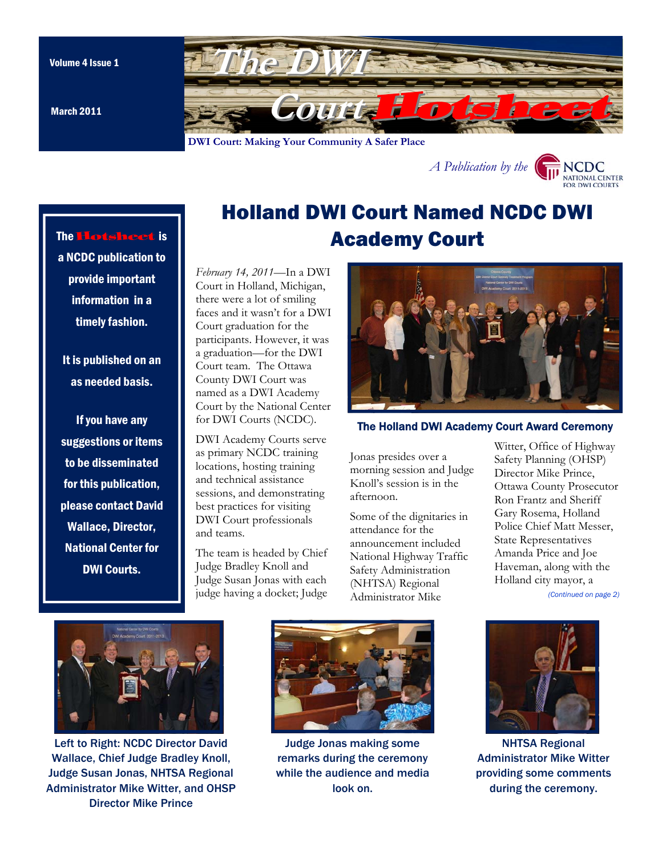March 2011

<span id="page-0-0"></span>

**DWI Court: Making Your Community A Safer Place** 



### The Hotsheet is

a NCDC publication to provide important information in a timely fashion.

It is published on an as needed basis.

If you have any suggestions or items to be disseminated for this publication, please contact David Wallace, Director, National Center for DWI Courts.

# Holland DWI Court Named NCDC DWI Academy Court

*February 14, 2011*—In a DWI Court in Holland, Michigan, there were a lot of smiling faces and it wasn't for a DWI Court graduation for the participants. However, it was a graduation—for the DWI Court team. The Ottawa County DWI Court was named as a DWI Academy Court by the National Center for DWI Courts (NCDC).

DWI Academy Courts serve as primary NCDC training locations, hosting training and technical assistance sessions, and demonstrating best practices for visiting DWI Court professionals and teams.

The team is headed by Chief Judge Bradley Knoll and Judge Susan Jonas with each judge having a docket; Judge



#### The Holland DWI Academy Court Award Ceremony

Jonas presides over a morning session and Judge Knoll's session is in the afternoon.

Some of the dignitaries in attendance for the announcement included National Highway Traffic Safety Administration (NHTSA) Regional Administrator Mike

Witter, Office of Highway Safety Planning (OHSP) Director Mike Prince, Ottawa County Prosecutor Ron Frantz and Sheriff Gary Rosema, Holland Police Chief Matt Messer, State Representatives Amanda Price and Joe Haveman, along with the Holland city mayor, a

*[\(Continued on page 2\)](#page-1-0)* 



Left to Right: NCDC Director David Wallace, Chief Judge Bradley Knoll, Judge Susan Jonas, NHTSA Regional Administrator Mike Witter, and OHSP Director Mike Prince



Judge Jonas making some remarks during the ceremony while the audience and media look on.



NHTSA Regional Administrator Mike Witter providing some comments during the ceremony.